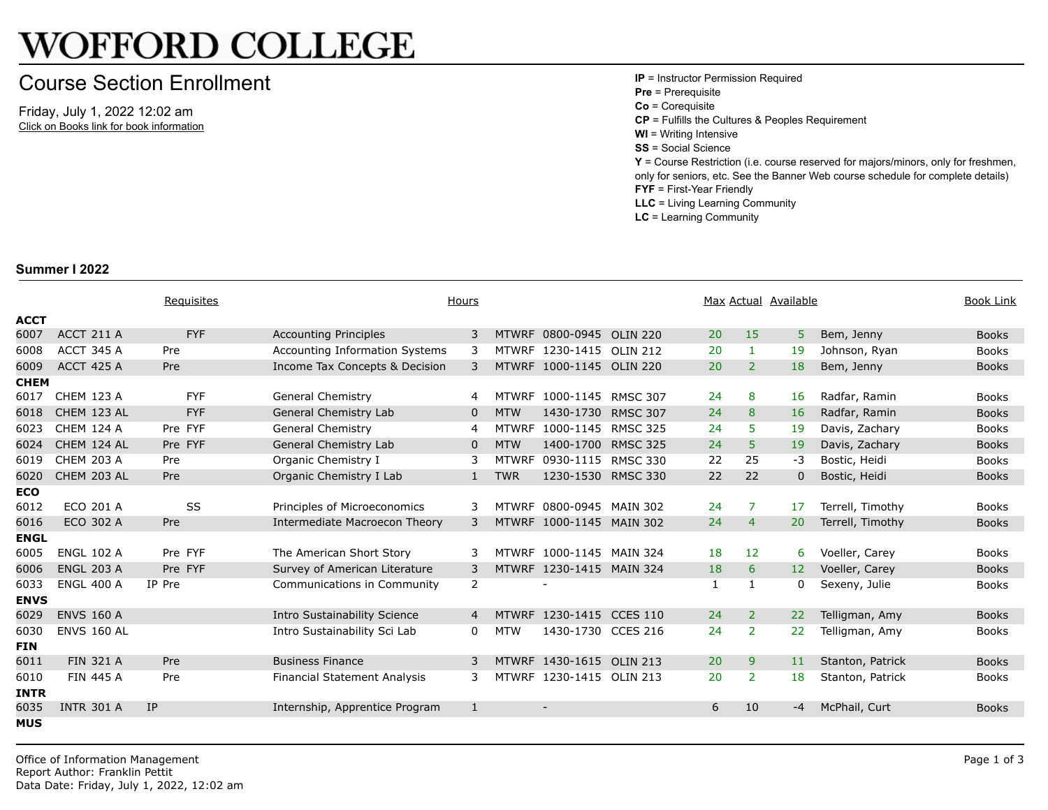## **WOFFORD COLLEGE**

## Course Section Enrollment

Friday, July 1, 2022 12:02 am Click on Books link for book information **IP** = Instructor Permission Required **Pre** = Prerequisite **Co** = Corequisite **CP** = Fulfills the Cultures & Peoples R **WI** = Writing Intensive **SS** = Social Science **Y** = Course Restriction (i.e. course re only for seniors, etc. See the Banner **FYF** = First-Year Friendly **LLC** = Living Learning Community **LC** = Learning Community

## **Summer I 2022**

|             |                    | Requisites |                                       | Hours        |              |                          | Max Actual |                | <u>Availabl</u> |
|-------------|--------------------|------------|---------------------------------------|--------------|--------------|--------------------------|------------|----------------|-----------------|
| <b>ACCT</b> |                    |            |                                       |              |              |                          |            |                |                 |
| 6007        | ACCT 211 A         | <b>FYF</b> | <b>Accounting Principles</b>          | 3            |              | MTWRF 0800-0945 OLIN 220 | 20         | 15             | 5 <sup>1</sup>  |
| 6008        | ACCT 345 A         | Pre        | <b>Accounting Information Systems</b> | 3            |              | MTWRF 1230-1415 OLIN 212 | 20         | $\mathbf{1}$   | 19              |
| 6009        | <b>ACCT 425 A</b>  | Pre        | Income Tax Concepts & Decision        | 3            |              | MTWRF 1000-1145 OLIN 220 | 20         | $\overline{2}$ | 18              |
| <b>CHEM</b> |                    |            |                                       |              |              |                          |            |                |                 |
| 6017        | <b>CHEM 123 A</b>  | <b>FYF</b> | <b>General Chemistry</b>              | 4            |              | MTWRF 1000-1145 RMSC 307 | 24         | 8              | 16              |
| 6018        | CHEM 123 AL        | <b>FYF</b> | General Chemistry Lab                 | 0            | <b>MTW</b>   | 1430-1730 RMSC 307       | 24         | 8              | 16              |
| 6023        | <b>CHEM 124 A</b>  | Pre FYF    | <b>General Chemistry</b>              | 4            | <b>MTWRF</b> | 1000-1145 RMSC 325       | 24         | 5.             | 19              |
| 6024        | CHEM 124 AL        | Pre FYF    | General Chemistry Lab                 | $\mathbf{0}$ | <b>MTW</b>   | 1400-1700 RMSC 325       | 24         | 5              | 19              |
| 6019        | <b>CHEM 203 A</b>  | Pre        | Organic Chemistry I                   | 3            | <b>MTWRF</b> | 0930-1115 RMSC 330       | 22         | 25             | $-3$            |
| 6020        | CHEM 203 AL        | Pre        | Organic Chemistry I Lab               | $\mathbf{1}$ | <b>TWR</b>   | 1230-1530 RMSC 330       | 22         | 22             | $\mathbf 0$     |
| <b>ECO</b>  |                    |            |                                       |              |              |                          |            |                |                 |
| 6012        | ECO 201 A          | SS         | Principles of Microeconomics          | 3            | <b>MTWRF</b> | 0800-0945 MAIN 302       | 24         | 7              | 17              |
| 6016        | ECO 302 A          | Pre        | Intermediate Macroecon Theory         | 3            |              | MTWRF 1000-1145 MAIN 302 | 24         | 4              | 20              |
| <b>ENGL</b> |                    |            |                                       |              |              |                          |            |                |                 |
| 6005        | <b>ENGL 102 A</b>  | Pre FYF    | The American Short Story              | 3            | <b>MTWRF</b> | 1000-1145 MAIN 324       | 18         | 12             | 6               |
| 6006        | <b>ENGL 203 A</b>  | Pre FYF    | Survey of American Literature         | 3            |              | MTWRF 1230-1415 MAIN 324 | 18         | 6              | 12              |
| 6033        | <b>ENGL 400 A</b>  | IP Pre     | Communications in Community           | 2            |              |                          | 1          | 1              | $\mathbf{0}$    |
| <b>ENVS</b> |                    |            |                                       |              |              |                          |            |                |                 |
| 6029        | <b>ENVS 160 A</b>  |            | Intro Sustainability Science          | 4            | <b>MTWRF</b> | 1230-1415 CCES 110       | 24         | $\overline{2}$ | 22              |
| 6030        | <b>ENVS 160 AL</b> |            | Intro Sustainability Sci Lab          | 0            | <b>MTW</b>   | 1430-1730 CCES 216       | 24         | $\overline{2}$ | 22              |
| <b>FIN</b>  |                    |            |                                       |              |              |                          |            |                |                 |
| 6011        | <b>FIN 321 A</b>   | Pre        | <b>Business Finance</b>               | 3            |              | MTWRF 1430-1615 OLIN 213 | 20         | 9              | 11              |
| 6010        | <b>FIN 445 A</b>   | Pre        | <b>Financial Statement Analysis</b>   | 3            | <b>MTWRF</b> | 1230-1415 OLIN 213       | 20         | $\overline{2}$ | 18              |
| <b>INTR</b> |                    |            |                                       |              |              |                          |            |                |                 |
| 6035        | <b>INTR 301 A</b>  | <b>IP</b>  | Internship, Apprentice Program        | 1            |              | $\overline{\phantom{a}}$ | 6          | 10             | $-4$            |
| <b>MUS</b>  |                    |            |                                       |              |              |                          |            |                |                 |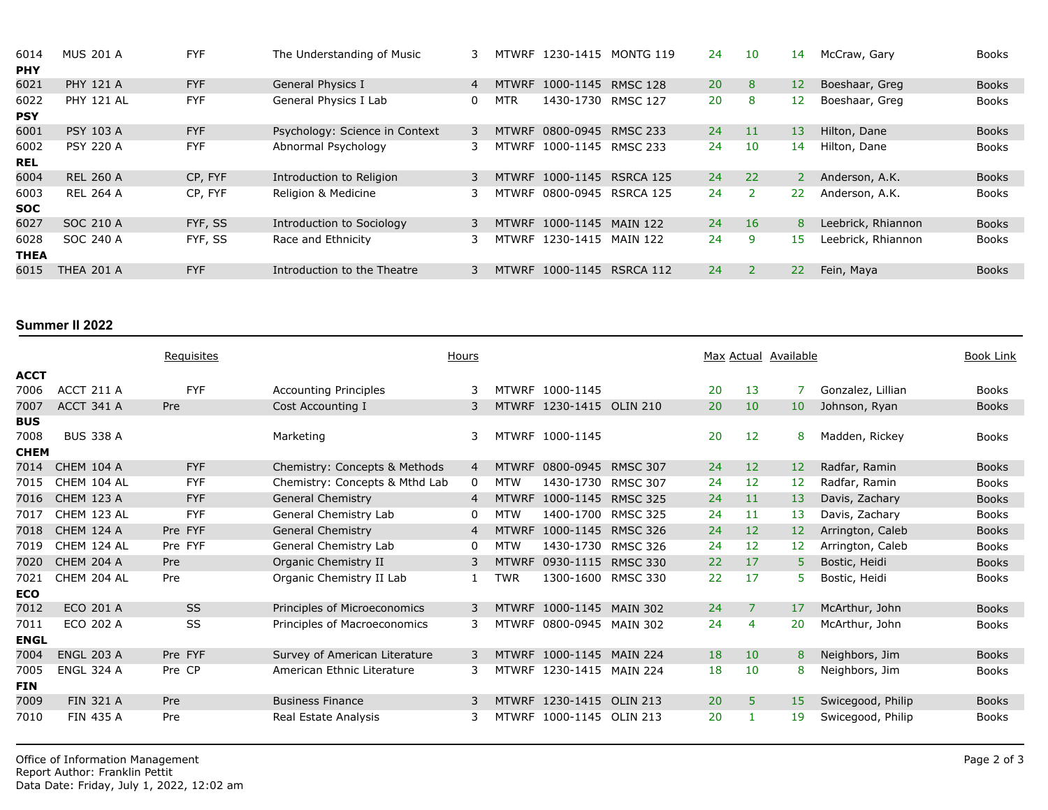| 6014        | <b>MUS 201 A</b>  | <b>FYF</b> | The Understanding of Music     |   |              | MTWRF 1230-1415 | MONTG 119       | 24 | 10        | 14              |
|-------------|-------------------|------------|--------------------------------|---|--------------|-----------------|-----------------|----|-----------|-----------------|
| <b>PHY</b>  |                   |            |                                |   |              |                 |                 |    |           |                 |
| 6021        | <b>PHY 121 A</b>  | <b>FYF</b> | General Physics I              | 4 | <b>MTWRF</b> | 1000-1145       | <b>RMSC 128</b> | 20 | 8         | 12 <sup>2</sup> |
| 6022        | <b>PHY 121 AL</b> | <b>FYF</b> | General Physics I Lab          | 0 | MTR          | 1430-1730       | <b>RMSC 127</b> | 20 | 8         | 12 <sub>1</sub> |
| <b>PSY</b>  |                   |            |                                |   |              |                 |                 |    |           |                 |
| 6001        | <b>PSY 103 A</b>  | <b>FYF</b> | Psychology: Science in Context | 3 | <b>MTWRF</b> | 0800-0945       | <b>RMSC 233</b> | 24 | 11        | 13 <sup>°</sup> |
| 6002        | <b>PSY 220 A</b>  | <b>FYF</b> | Abnormal Psychology            | 3 |              | MTWRF 1000-1145 | <b>RMSC 233</b> | 24 | 10        | 14              |
| <b>REL</b>  |                   |            |                                |   |              |                 |                 |    |           |                 |
| 6004        | <b>REL 260 A</b>  | CP, FYF    | Introduction to Religion       | 3 |              | MTWRF 1000-1145 | RSRCA 125       | 24 | 22        | 2 <sup>1</sup>  |
| 6003        | <b>REL 264 A</b>  | CP, FYF    | Religion & Medicine            | 3 |              | MTWRF 0800-0945 | RSRCA 125       | 24 |           | 22 <sub>2</sub> |
| <b>SOC</b>  |                   |            |                                |   |              |                 |                 |    |           |                 |
| 6027        | SOC 210 A         | FYF, SS    | Introduction to Sociology      | 3 |              | MTWRF 1000-1145 | <b>MAIN 122</b> | 24 | <b>16</b> | 8               |
| 6028        | SOC 240 A         | FYF, SS    | Race and Ethnicity             | 3 |              | MTWRF 1230-1415 | <b>MAIN 122</b> | 24 | 9         | 15              |
| <b>THEA</b> |                   |            |                                |   |              |                 |                 |    |           |                 |
| 6015        | <b>THEA 201 A</b> | <b>FYF</b> | Introduction to the Theatre    | 3 |              | MTWRF 1000-1145 | RSRCA 112       | 24 |           | $22^{\circ}$    |
|             |                   |            |                                |   |              |                 |                 |    |           |                 |

## **Summer II 2022**

|             |                   | Requisites |                                | Hours          |              |                          |                 | Max Actual |                   | Availabl        |
|-------------|-------------------|------------|--------------------------------|----------------|--------------|--------------------------|-----------------|------------|-------------------|-----------------|
| <b>ACCT</b> |                   |            |                                |                |              |                          |                 |            |                   |                 |
| 7006        | <b>ACCT 211 A</b> | <b>FYF</b> | <b>Accounting Principles</b>   | 3              |              | MTWRF 1000-1145          |                 | 20         | 13                | $\overline{7}$  |
| 7007        | ACCT 341 A        | Pre        | Cost Accounting I              | 3              |              | MTWRF 1230-1415 OLIN 210 |                 | 20         | 10                | 10 <sup>°</sup> |
| <b>BUS</b>  |                   |            |                                |                |              |                          |                 |            |                   |                 |
| 7008        | <b>BUS 338 A</b>  |            | Marketing                      | 3              |              | MTWRF 1000-1145          |                 | 20         | 12                | 8               |
| <b>CHEM</b> |                   |            |                                |                |              |                          |                 |            |                   |                 |
| 7014        | <b>CHEM 104 A</b> | <b>FYF</b> | Chemistry: Concepts & Methods  | $\overline{4}$ | <b>MTWRF</b> | 0800-0945 RMSC 307       |                 | 24         | $12 \overline{ }$ | 12              |
| 7015        | CHEM 104 AL       | <b>FYF</b> | Chemistry: Concepts & Mthd Lab | 0              | <b>MTW</b>   | 1430-1730                | <b>RMSC 307</b> | 24         | 12                | 12              |
| 7016        | <b>CHEM 123 A</b> | <b>FYF</b> | <b>General Chemistry</b>       | $\overline{4}$ | <b>MTWRF</b> | 1000-1145 RMSC 325       |                 | 24         | 11                | 13              |
| 7017        | CHEM 123 AL       | <b>FYF</b> | General Chemistry Lab          | 0              | <b>MTW</b>   | 1400-1700                | <b>RMSC 325</b> | 24         | 11                | 13              |
| 7018        | <b>CHEM 124 A</b> | Pre FYF    | <b>General Chemistry</b>       | 4              | <b>MTWRF</b> | 1000-1145                | <b>RMSC 326</b> | 24         | 12                | 12              |
| 7019        | CHEM 124 AL       | Pre FYF    | General Chemistry Lab          | 0              | <b>MTW</b>   | 1430-1730                | <b>RMSC 326</b> | 24         | 12                | 12 <sub>1</sub> |
| 7020        | <b>CHEM 204 A</b> | Pre        | Organic Chemistry II           | 3              | <b>MTWRF</b> | 0930-1115 RMSC 330       |                 | 22         | 17                | 5 <sup>1</sup>  |
| 7021        | CHEM 204 AL       | Pre        | Organic Chemistry II Lab       | 1              | <b>TWR</b>   | 1300-1600                | <b>RMSC 330</b> | 22         | 17                | 5.              |
| <b>ECO</b>  |                   |            |                                |                |              |                          |                 |            |                   |                 |
| 7012        | <b>ECO 201 A</b>  | <b>SS</b>  | Principles of Microeconomics   | 3              | <b>MTWRF</b> | 1000-1145                | <b>MAIN 302</b> | 24         | 7                 | 17              |
| 7011        | ECO 202 A         | SS         | Principles of Macroeconomics   | 3              | <b>MTWRF</b> | 0800-0945                | <b>MAIN 302</b> | 24         | 4                 | 20              |
| <b>ENGL</b> |                   |            |                                |                |              |                          |                 |            |                   |                 |
| 7004        | <b>ENGL 203 A</b> | Pre FYF    | Survey of American Literature  | 3              | <b>MTWRF</b> | 1000-1145 MAIN 224       |                 | 18         | 10                | 8 <sup>°</sup>  |
| 7005        | <b>ENGL 324 A</b> | Pre CP     | American Ethnic Literature     | 3              | <b>MTWRF</b> | 1230-1415 MAIN 224       |                 | 18         | 10                | 8               |
| <b>FIN</b>  |                   |            |                                |                |              |                          |                 |            |                   |                 |
| 7009        | <b>FIN 321 A</b>  | Pre        | <b>Business Finance</b>        | 3              |              | MTWRF 1230-1415 OLIN 213 |                 | 20         | 5.                | 15              |
| 7010        | <b>FIN 435 A</b>  | Pre        | Real Estate Analysis           | 3              | <b>MTWRF</b> | 1000-1145 OLIN 213       |                 | 20         |                   | 19              |